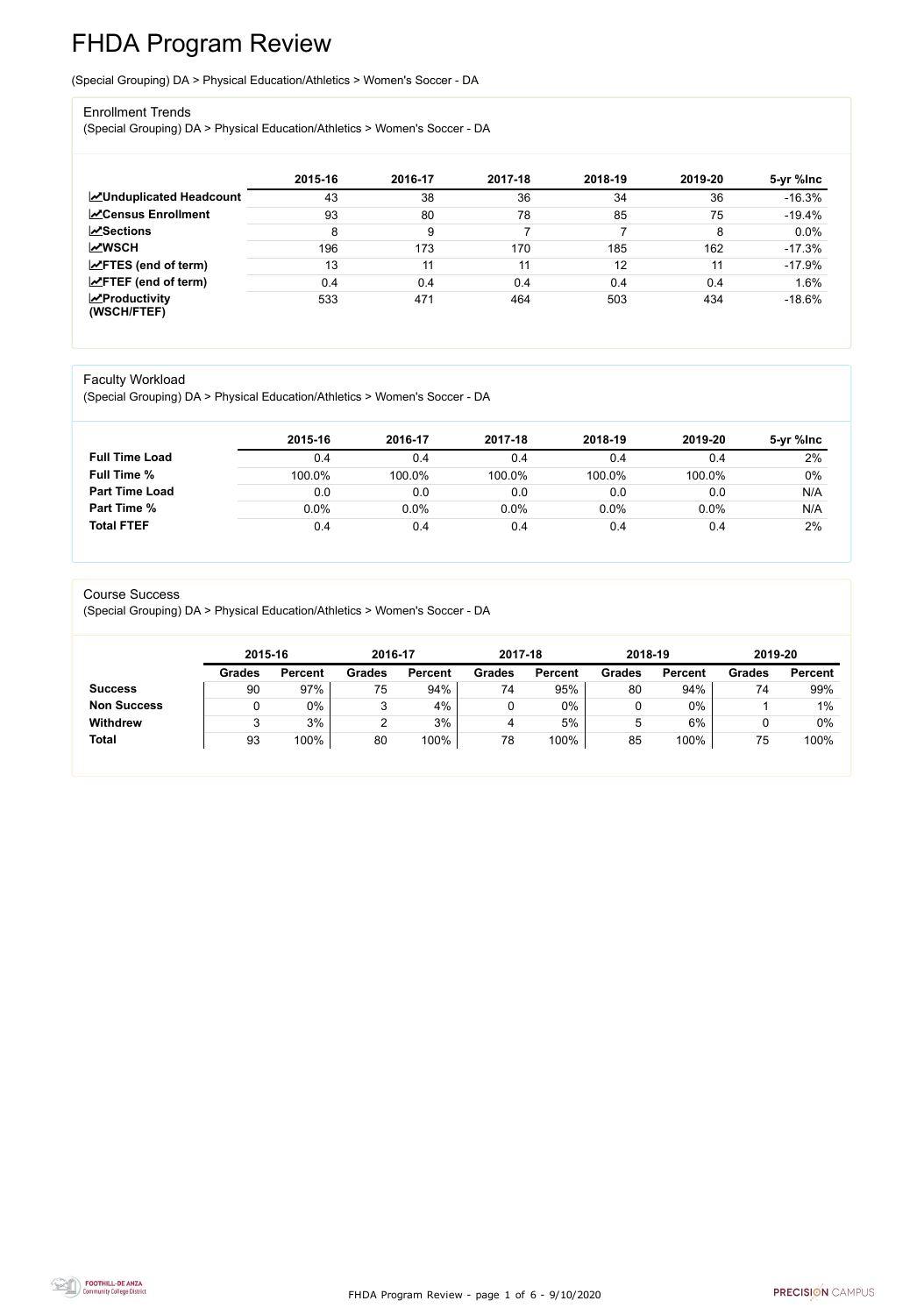FHDA Program Review - page 1 of 6 - 9/10/2020



# FHDA Program Review

(Special Grouping) DA > Physical Education/Athletics > Women's Soccer - DA

#### Enrollment Trends

(Special Grouping) DA > Physical Education/Athletics > Women's Soccer - DA

|                                                  | 2015-16 | 2016-17 | 2017-18 | 2018-19 | 2019-20 | 5-yr %lnc |
|--------------------------------------------------|---------|---------|---------|---------|---------|-----------|
| <b>ZUnduplicated Headcount</b>                   | 43      | 38      | 36      | 34      | 36      | $-16.3%$  |
| <b>ZCensus Enrollment</b>                        | 93      | 80      | 78      | 85      | 75      | $-19.4%$  |
| $\sqrt{\frac{8}{2}}$ Sections                    | 8       | 9       |         |         | 8       | 0.0%      |
| <b>MWSCH</b>                                     | 196     | 173     | 170     | 185     | 162     | $-17.3%$  |
| $\angle$ FTES (end of term)                      | 13      | 11      | 11      | 12      | 11      | $-17.9%$  |
| $\angle$ FTEF (end of term)                      | 0.4     | 0.4     | 0.4     | 0.4     | 0.4     | 1.6%      |
| $\sqrt{\frac{1}{2}}$ Productivity<br>(WSCH/FTEF) | 533     | 471     | 464     | 503     | 434     | $-18.6%$  |

#### Faculty Workload

(Special Grouping) DA > Physical Education/Athletics > Women's Soccer - DA

|                       | 2015-16 | 2016-17 | 2017-18 | 2018-19 | 2019-20 | 5-yr %lnc |
|-----------------------|---------|---------|---------|---------|---------|-----------|
| <b>Full Time Load</b> | 0.4     | 0.4     | 0.4     | 0.4     | 0.4     | 2%        |
| <b>Full Time %</b>    | 100.0%  | 100.0%  | 100.0%  | 100.0%  | 100.0%  | 0%        |
| <b>Part Time Load</b> | 0.0     | 0.0     | 0.0     | 0.0     | 0.0     | N/A       |
| <b>Part Time %</b>    | $0.0\%$ | $0.0\%$ | 0.0%    | 0.0%    | $0.0\%$ | N/A       |
| <b>Total FTEF</b>     | 0.4     | 0.4     | 0.4     | 0.4     | 0.4     | 2%        |

#### Course Success

(Special Grouping) DA > Physical Education/Athletics > Women's Soccer - DA

|                    | 2015-16       |                | 2016-17       |                | 2017-18       |                | 2018-19       |                | 2019-20       |                |
|--------------------|---------------|----------------|---------------|----------------|---------------|----------------|---------------|----------------|---------------|----------------|
|                    | <b>Grades</b> | <b>Percent</b> | <b>Grades</b> | <b>Percent</b> | <b>Grades</b> | <b>Percent</b> | <b>Grades</b> | <b>Percent</b> | <b>Grades</b> | <b>Percent</b> |
| <b>Success</b>     | 90            | 97%            | 75            | 94%            | 74            | 95%            | 80            | 94%            | 74            | 99%            |
| <b>Non Success</b> |               | 0%             |               | 4%             |               | 0%             |               | $0\%$          |               | 1%             |
| <b>Withdrew</b>    |               | 3%             |               | 3%             | 4             | 5%             | 5             | 6%             |               | 0%             |
| <b>Total</b>       | 93            | 100%           | 80            | 100%           | 78            | 100%           | 85            | 100%           | 75            | 100%           |
|                    |               |                |               |                |               |                |               |                |               |                |

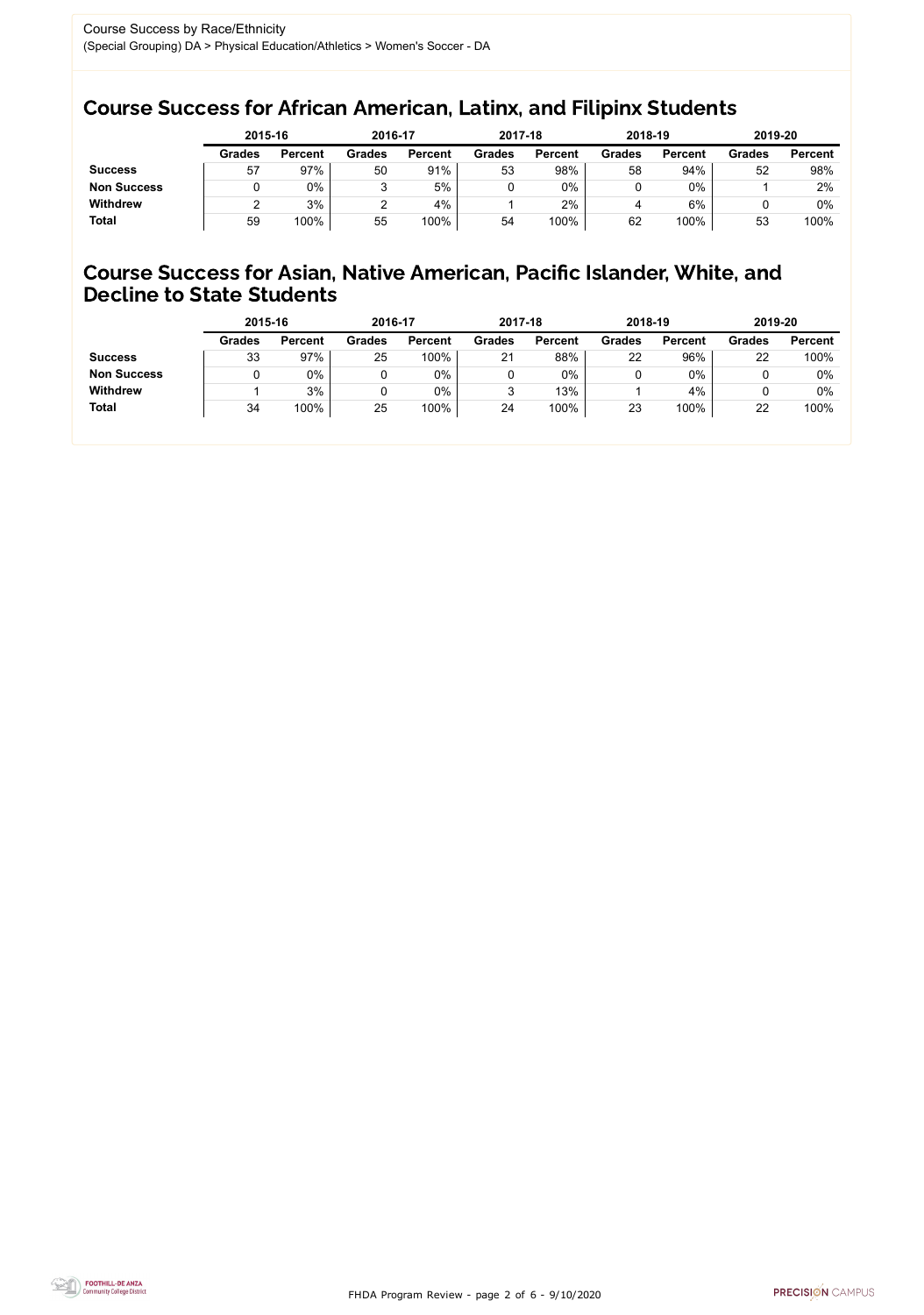FHDA Program Review - page 2 of 6 - 9/10/2020



### Course Success for African American, Latinx, and Filipinx Students

### Course Success for Asian, Native American, Pacific Islander, White, and Decline to State Students

|                    | 2015-16       |                | 2016-17       |                | 2017-18       |                | 2018-19       |                | 2019-20       |                |
|--------------------|---------------|----------------|---------------|----------------|---------------|----------------|---------------|----------------|---------------|----------------|
|                    | <b>Grades</b> | <b>Percent</b> | <b>Grades</b> | <b>Percent</b> | <b>Grades</b> | <b>Percent</b> | <b>Grades</b> | <b>Percent</b> | <b>Grades</b> | <b>Percent</b> |
| <b>Success</b>     | 57            | 97%            | 50            | 91%            | 53            | 98%            | 58            | 94%            | 52            | 98%            |
| <b>Non Success</b> |               | $0\%$          | ື             | 5%             |               | $0\%$          |               | 0%             |               | 2%             |
| <b>Withdrew</b>    |               | 3%             |               | 4%             |               | 2%             |               | 6%             |               | $0\%$          |
| <b>Total</b>       | 59            | 100%           | 55            | 100%           | 54            | 100%           | 62            | 100%           | 53            | 100%           |

|                    | 2015-16       |                | 2016-17       |                | 2017-18       |                | 2018-19       |                | 2019-20       |                |
|--------------------|---------------|----------------|---------------|----------------|---------------|----------------|---------------|----------------|---------------|----------------|
|                    | <b>Grades</b> | <b>Percent</b> | <b>Grades</b> | <b>Percent</b> | <b>Grades</b> | <b>Percent</b> | <b>Grades</b> | <b>Percent</b> | <b>Grades</b> | <b>Percent</b> |
| <b>Success</b>     | 33            | 97%            | 25            | 100%           | 21            | 88%            | 22            | 96%            | 22            | 100%           |
| <b>Non Success</b> |               | $0\%$          |               | 0%             |               | 0%             |               | 0%             |               | $0\%$          |
| <b>Withdrew</b>    |               | 3%             |               | 0%             |               | 13%            |               | 4%             |               | $0\%$          |
| <b>Total</b>       | 34            | 100%           | 25            | 100%           | 24            | 100%           | 23            | 100%           | 22            | 100%           |
|                    |               |                |               |                |               |                |               |                |               |                |

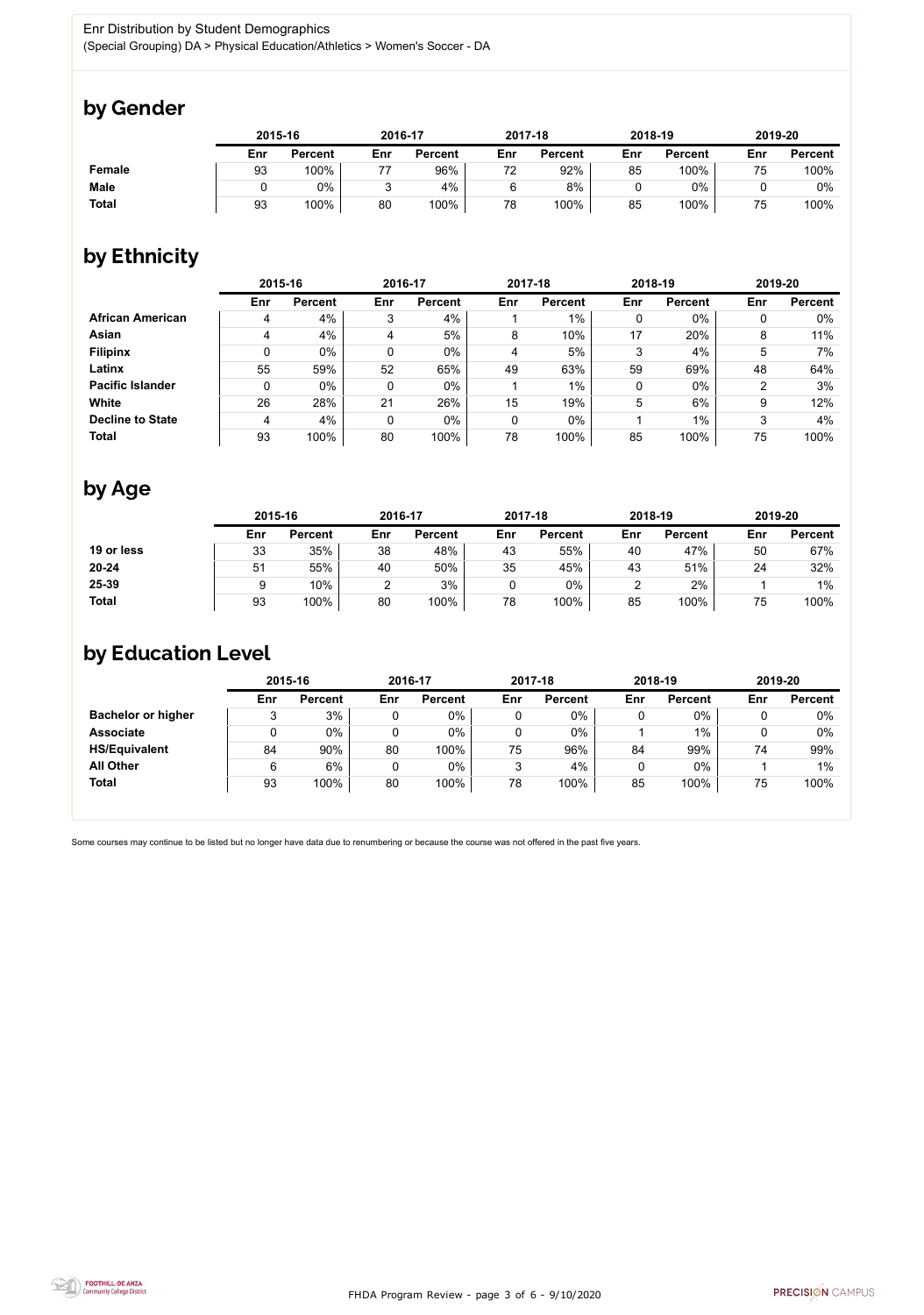FHDA Program Review - page 3 of 6 - 9/10/2020



Some courses may continue to be listed but no longer have data due to renumbering or because the course was not offered in the past five years.



### by Gender

|               | 2015-16 |                |     | 2016-17        |     | 2017-18        |     | 2018-19        |     | 2019-20        |  |
|---------------|---------|----------------|-----|----------------|-----|----------------|-----|----------------|-----|----------------|--|
|               | Enr     | <b>Percent</b> | Enr | <b>Percent</b> | Enr | <b>Percent</b> | Enr | <b>Percent</b> | Enr | <b>Percent</b> |  |
| <b>Female</b> | 93      | 100%           |     | 96%            | 72  | 92%            | 85  | 100%           | 75  | 100%           |  |
| <b>Male</b>   |         | $0\%$          |     | 4%             |     | 8%             |     | $0\%$          |     | $0\%$          |  |
| <b>Total</b>  | 93      | 100%           | 80  | 100%           | 78  | 100%           | 85  | 100%           | 75  | 100%           |  |

## by Ethnicity

|                         | 2015-16 |                |     | 2016-17        |     | 2017-18        | 2018-19 |                | 2019-20 |                |
|-------------------------|---------|----------------|-----|----------------|-----|----------------|---------|----------------|---------|----------------|
|                         | Enr     | <b>Percent</b> | Enr | <b>Percent</b> | Enr | <b>Percent</b> | Enr     | <b>Percent</b> | Enr     | <b>Percent</b> |
| <b>African American</b> | 4       | 4%             | 3   | 4%             |     | $1\%$          | 0       | $0\%$          |         | $0\%$          |
| Asian                   | 4       | 4%             | 4   | 5%             | 8   | 10%            | 17      | 20%            | 8       | 11%            |
| <b>Filipinx</b>         | 0       | $0\%$          | 0   | $0\%$          | 4   | 5%             | 3       | 4%             | 5       | 7%             |
| Latinx                  | 55      | 59%            | 52  | 65%            | 49  | 63%            | 59      | 69%            | 48      | 64%            |
| <b>Pacific Islander</b> | 0       | $0\%$          | 0   | $0\%$          |     | $1\%$          | 0       | $0\%$          | ◠       | 3%             |
| White                   | 26      | 28%            | 21  | 26%            | 15  | 19%            | 5       | 6%             | 9       | 12%            |
| <b>Decline to State</b> | 4       | 4%             | 0   | $0\%$          | 0   | $0\%$          |         | $1\%$          | 3       | 4%             |
| <b>Total</b>            | 93      | 100%           | 80  | 100%           | 78  | 100%           | 85      | 100%           | 75      | 100%           |

### by Age

|              | 2015-16 |                |     | 2016-17        |     | 2017-18        |     | 2018-19        |     | 2019-20        |  |
|--------------|---------|----------------|-----|----------------|-----|----------------|-----|----------------|-----|----------------|--|
|              | Enr     | <b>Percent</b> | Enr | <b>Percent</b> | Enr | <b>Percent</b> | Enr | <b>Percent</b> | Enr | <b>Percent</b> |  |
| 19 or less   | 33      | 35%            | 38  | 48%            | 43  | 55%            | 40  | 47%            | 50  | 67%            |  |
| $20 - 24$    | 51      | 55%            | 40  | 50%            | 35  | 45%            | 43  | 51%            | 24  | 32%            |  |
| 25-39        |         | 10%            |     | 3%             | 0   | $0\%$          |     | 2%             |     | $1\%$          |  |
| <b>Total</b> | 93      | 100%           | 80  | 100%           | 78  | 100%           | 85  | 100%           | 75  | 100%           |  |

### by Education Level

|                           | 2015-16 |                |     | 2016-17        |     | 2017-18        | 2018-19 |                | 2019-20 |                |
|---------------------------|---------|----------------|-----|----------------|-----|----------------|---------|----------------|---------|----------------|
|                           | Enr     | <b>Percent</b> | Enr | <b>Percent</b> | Enr | <b>Percent</b> | Enr     | <b>Percent</b> | Enr     | <b>Percent</b> |
| <b>Bachelor or higher</b> |         | 3%             |     | $0\%$          |     | $0\%$          |         | $0\%$          |         | 0%             |
| <b>Associate</b>          |         | $0\%$          |     | $0\%$          |     | $0\%$          |         | 1%             |         | 0%             |
| <b>HS/Equivalent</b>      | 84      | 90%            | 80  | 100%           | 75  | 96%            | 84      | 99%            | 74      | 99%            |
| <b>All Other</b>          | 6       | 6%             |     | $0\%$          | ↷   | 4%             |         | 0%             |         | $1\%$          |
| <b>Total</b>              | 93      | 100%           | 80  | 100%           | 78  | 100%           | 85      | 100%           | 75      | 100%           |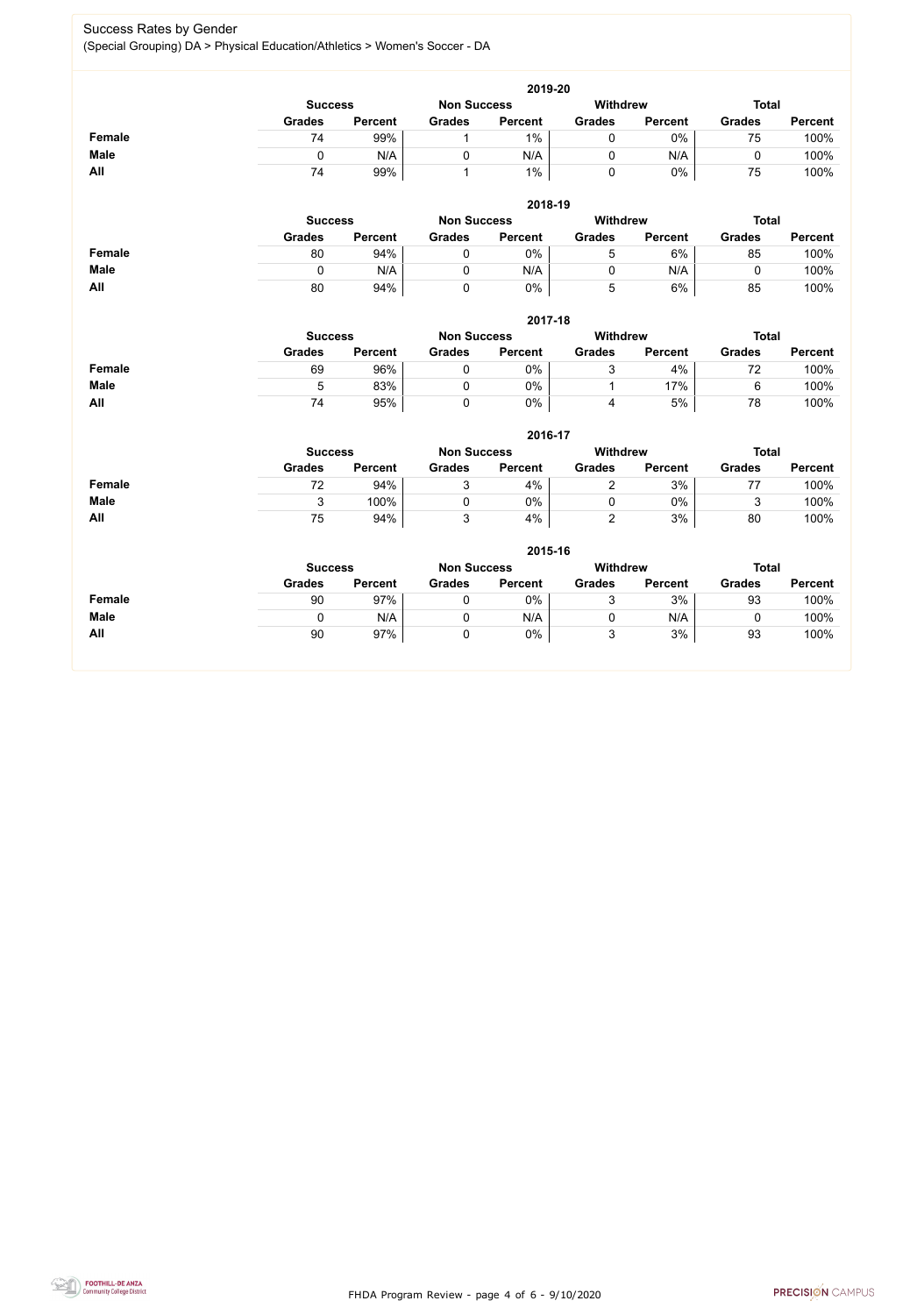FHDA Program Review - page 4 of 6 - 9/10/2020



#### Success Rates by Gender (Special Grouping) DA > Physical Education/Athletics > Women's Soccer - DA

|               |                |                |                    | 2019-20        |                 |                |               |                |
|---------------|----------------|----------------|--------------------|----------------|-----------------|----------------|---------------|----------------|
|               | <b>Success</b> |                | <b>Non Success</b> |                | <b>Withdrew</b> |                | <b>Total</b>  |                |
|               | <b>Grades</b>  | <b>Percent</b> | <b>Grades</b>      | <b>Percent</b> | <b>Grades</b>   | <b>Percent</b> | <b>Grades</b> | <b>Percent</b> |
| <b>Female</b> | 74             | 99%            | 1                  | $1\%$          | $\mathbf 0$     | 0%             | 75            | 100%           |
| <b>Male</b>   | $\mathbf 0$    | N/A            | $\mathbf 0$        | N/A            | $\mathbf 0$     | N/A            | $\mathbf 0$   | 100%           |
| All           | 74             | 99%            | $\mathbf 1$        | $1\%$          | $\mathbf 0$     | $0\%$          | 75            | 100%           |
|               |                |                |                    | 2018-19        |                 |                |               |                |
|               | <b>Success</b> |                | <b>Non Success</b> |                | <b>Withdrew</b> |                | <b>Total</b>  |                |
|               | <b>Grades</b>  | <b>Percent</b> | <b>Grades</b>      | <b>Percent</b> | <b>Grades</b>   | <b>Percent</b> | <b>Grades</b> | <b>Percent</b> |
| <b>Female</b> | 80             | 94%            | $\mathbf 0$        | 0%             | 5               | 6%             | 85            | 100%           |
| <b>Male</b>   | $\mathbf 0$    | N/A            | $\mathbf 0$        | N/A            | $\mathbf 0$     | N/A            | $\mathbf 0$   | 100%           |
| All           | 80             | 94%            | $\mathbf 0$        | $0\%$          | 5               | 6%             | 85            | 100%           |
|               |                |                |                    | 2017-18        |                 |                |               |                |
|               | <b>Success</b> |                | <b>Non Success</b> |                | <b>Withdrew</b> |                | <b>Total</b>  |                |
|               | <b>Grades</b>  | <b>Percent</b> | <b>Grades</b>      | <b>Percent</b> | <b>Grades</b>   | <b>Percent</b> | <b>Grades</b> | <b>Percent</b> |
| <b>Female</b> | 69             | 96%            | $\mathbf 0$        | 0%             | 3               | 4%             | 72            | 100%           |
| <b>Male</b>   | 5              | 83%            | $\mathbf 0$        | 0%             | $\mathbf{1}$    | 17%            | 6             | 100%           |
| All           | 74             | 95%            | $\mathbf 0$        | $0\%$          | 4               | 5%             | 78            | 100%           |
|               |                |                |                    | 2016-17        |                 |                |               |                |
|               | <b>Success</b> |                | <b>Non Success</b> |                | <b>Withdrew</b> |                | <b>Total</b>  |                |
|               | <b>Grades</b>  | <b>Percent</b> | <b>Grades</b>      | <b>Percent</b> | <b>Grades</b>   | <b>Percent</b> | <b>Grades</b> | <b>Percent</b> |
| <b>Female</b> | 72             | 94%            | $\mathfrak{S}$     | 4%             | $\overline{2}$  | 3%             | 77            | 100%           |
| <b>Male</b>   | 3              | 100%           | $\mathbf 0$        | $0\%$          | 0               | 0%             | 3             | 100%           |
| All           | 75             | 94%            | 3                  | 4%             | $\overline{2}$  | 3%             | 80            | 100%           |
|               |                |                |                    | 2015-16        |                 |                |               |                |
|               | <b>Success</b> |                | <b>Non Success</b> |                | <b>Withdrew</b> |                | <b>Total</b>  |                |
|               | <b>Grades</b>  | <b>Percent</b> | <b>Grades</b>      | <b>Percent</b> | <b>Grades</b>   | <b>Percent</b> | <b>Grades</b> | <b>Percent</b> |
| <b>Female</b> | 90             | 97%            | $\mathbf 0$        | $0\%$          | 3               | 3%             | 93            | 100%           |
| <b>Male</b>   | $\mathbf 0$    | N/A            | $\mathbf 0$        | N/A            | 0               | N/A            | $\mathbf 0$   | 100%           |
| All           | 90             | 97%            | $\pmb{0}$          | $0\%$          | 3               | 3%             | 93            | 100%           |
|               |                |                |                    |                |                 |                |               |                |

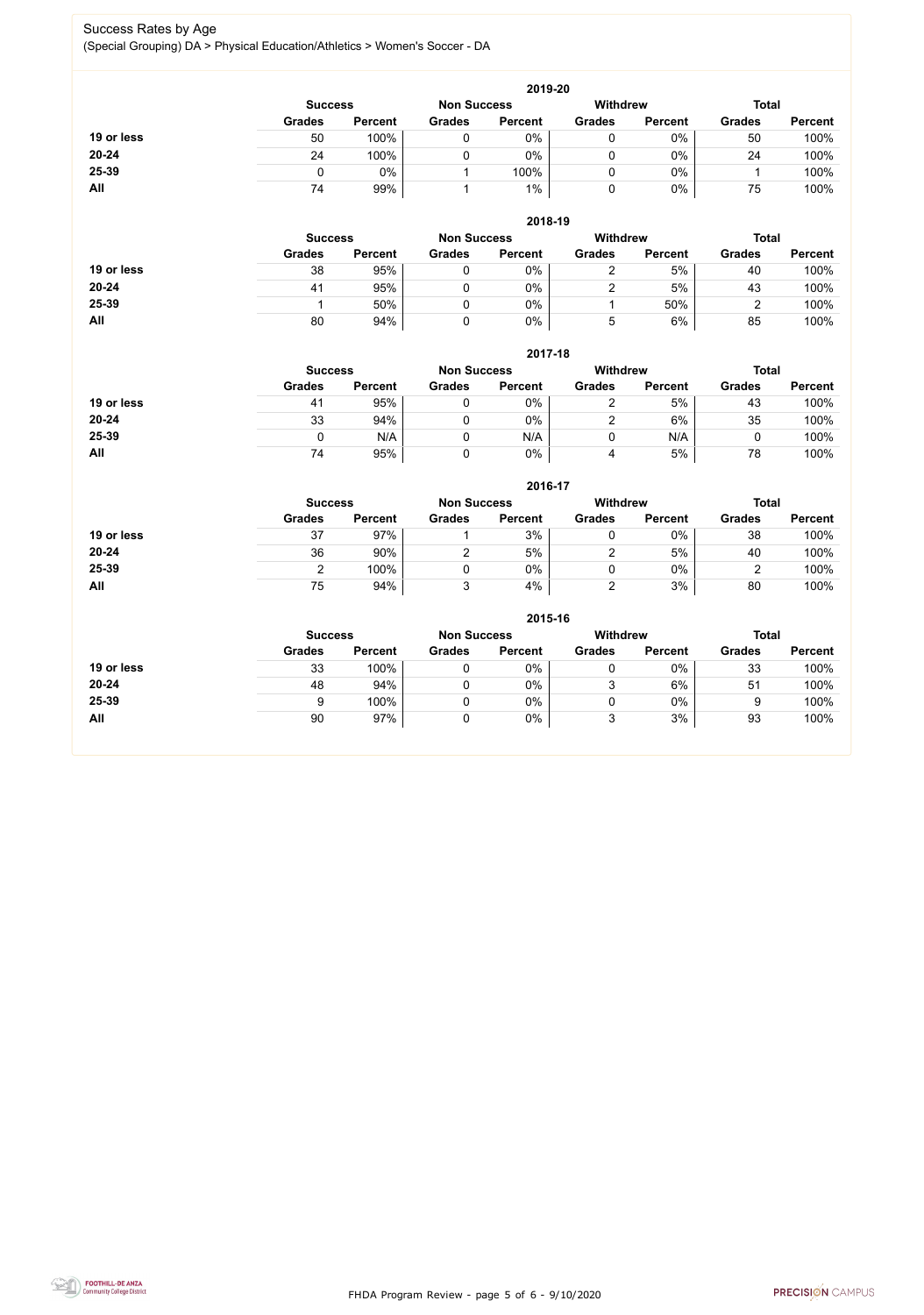FHDA Program Review - page 5 of 6 - 9/10/2020



#### Success Rates by Age (Special Grouping) DA > Physical Education/Athletics > Women's Soccer - DA

|            |               |                                                         |               | 2019-20        |               |                |               |                |  |
|------------|---------------|---------------------------------------------------------|---------------|----------------|---------------|----------------|---------------|----------------|--|
|            |               | <b>Withdrew</b><br><b>Non Success</b><br><b>Success</b> |               |                |               |                |               |                |  |
|            | <b>Grades</b> | <b>Percent</b>                                          | <b>Grades</b> | <b>Percent</b> | <b>Grades</b> | <b>Percent</b> | <b>Grades</b> | <b>Percent</b> |  |
| 19 or less | 50            | 100%                                                    | 0             | 0%             | 0             | $0\%$          | 50            | 100%           |  |
| $20 - 24$  | 24            | 100%                                                    |               | 0%             | 0             | $0\%$          | 24            | 100%           |  |
| 25-39      |               | 0%                                                      |               | 100%           | 0             | $0\%$          |               | 100%           |  |
| All        | 74            | 99%                                                     |               | $1\%$          | 0             | $0\%$          | 75            | 100%           |  |

|            |               |                                      |               | 2018-19        |               |                |               |                |  |
|------------|---------------|--------------------------------------|---------------|----------------|---------------|----------------|---------------|----------------|--|
|            |               | <b>Non Success</b><br><b>Success</b> |               |                |               |                |               | <b>Total</b>   |  |
|            | <b>Grades</b> | <b>Percent</b>                       | <b>Grades</b> | <b>Percent</b> | <b>Grades</b> | <b>Percent</b> | <b>Grades</b> | <b>Percent</b> |  |
| 19 or less | 38            | 95%                                  |               | 0%             |               | 5%             | 40            | 100%           |  |
| $20 - 24$  | 41            | 95%                                  |               | 0%             |               | 5%             | 43            | 100%           |  |
| 25-39      |               | 50%                                  |               | 0%             |               | 50%            |               | 100%           |  |
| All        | 80            | 94%                                  |               | 0%             | ხ             | 6%             | 85            | 100%           |  |

|            | 2017-18        |                |                    |                |                 |                |               |                |  |
|------------|----------------|----------------|--------------------|----------------|-----------------|----------------|---------------|----------------|--|
|            | <b>Success</b> |                | <b>Non Success</b> |                | <b>Withdrew</b> |                | <b>Total</b>  |                |  |
|            | <b>Grades</b>  | <b>Percent</b> | <b>Grades</b>      | <b>Percent</b> | <b>Grades</b>   | <b>Percent</b> | <b>Grades</b> | <b>Percent</b> |  |
| 19 or less | 41             | 95%            |                    | 0%             |                 | 5%             | 43            | 100%           |  |
| $20 - 24$  | 33             | 94%            |                    | $0\%$          | 2               | 6%             | 35            | 100%           |  |
| 25-39      |                | N/A            |                    | N/A            |                 | N/A            | u             | 100%           |  |
| <b>All</b> | 74             | 95%            |                    | 0%             | 4               | 5%             | 78            | 100%           |  |

|            | 2016-17        |                |                    |                |                 |                |               |                |  |
|------------|----------------|----------------|--------------------|----------------|-----------------|----------------|---------------|----------------|--|
|            | <b>Success</b> |                | <b>Non Success</b> |                | <b>Withdrew</b> |                | <b>Total</b>  |                |  |
|            | <b>Grades</b>  | <b>Percent</b> | <b>Grades</b>      | <b>Percent</b> | <b>Grades</b>   | <b>Percent</b> | <b>Grades</b> | <b>Percent</b> |  |
| 19 or less | 37             | 97%            |                    | 3%             | 0               | $0\%$          | 38            | 100%           |  |
| 20-24      | 36             | 90%            |                    | 5%             |                 | 5%             | 40            | 100%           |  |
| 25-39      |                | 100%           |                    | 0%             |                 | $0\%$          |               | 100%           |  |
| All        | 75             | 94%            | ົ                  | 4%             |                 | 3%             | 80            | 100%           |  |

|            | 2015-16        |                |                    |                |                 |                |               |                |  |
|------------|----------------|----------------|--------------------|----------------|-----------------|----------------|---------------|----------------|--|
|            | <b>Success</b> |                | <b>Non Success</b> |                | <b>Withdrew</b> |                | <b>Total</b>  |                |  |
|            | <b>Grades</b>  | <b>Percent</b> | <b>Grades</b>      | <b>Percent</b> | <b>Grades</b>   | <b>Percent</b> | <b>Grades</b> | <b>Percent</b> |  |
| 19 or less | 33             | 100%           |                    | 0%             | 0               | $0\%$          | 33            | 100%           |  |
| $20 - 24$  | 48             | 94%            |                    | $0\%$          | 3               | 6%             | 51            | 100%           |  |
| 25-39      | 9              | 100%           |                    | 0%             |                 | $0\%$          | g             | 100%           |  |
| All        | 90             | 97%            |                    | $0\%$          | 3               | 3%             | 93            | 100%           |  |
|            |                |                |                    |                |                 |                |               |                |  |